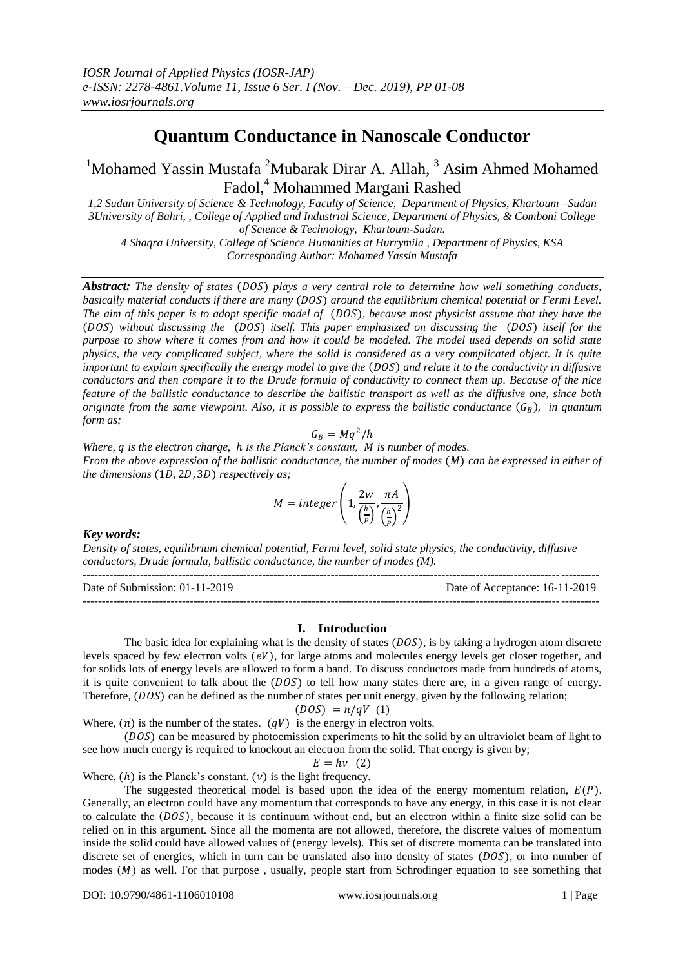# **Quantum Conductance in Nanoscale Conductor**

<sup>1</sup>Mohamed Yassin Mustafa <sup>2</sup>Mubarak Dirar A. Allah,  $3$  Asim Ahmed Mohamed Fadol,<sup>4</sup> Mohammed Margani Rashed

*1,2 Sudan University of Science & Technology, Faculty of Science, Department of Physics, Khartoum –Sudan 3University of Bahri, , College of Applied and Industrial Science, Department of Physics, & Comboni College of Science & Technology, Khartoum-Sudan.*

*4 Shaqra University, College of Science Humanities at Hurrymila , Department of Physics, KSA Corresponding Author: Mohamed Yassin Mustafa*

*Abstract: The density of states (DOS) plays a very central role to determine how well something conducts, basically material conducts if there are many (DOS) around the equilibrium chemical potential or Fermi Level. The aim of this paper is to adopt specific model of (DOS), because most physicist assume that they have the* (DOS) without discussing the (DOS) itself. This paper emphasized on discussing the (DOS) itself for the *purpose to show where it comes from and how it could be modeled. The model used depends on solid state physics, the very complicated subject, where the solid is considered as a very complicated object. It is quite important to explain specifically the energy model to give the (DOS) and relate it to the conductivity in diffusive conductors and then compare it to the Drude formula of conductivity to connect them up. Because of the nice feature of the ballistic conductance to describe the ballistic transport as well as the diffusive one, since both originate from the same viewpoint. Also, it is possible to express the ballistic conductance*  $(G_B)$ , *in quantum form as;*

$$
G_B=Mq^2/h
$$

*Where, is the electron charge, is the Planck's constant, is number of modes. From the above expression of the ballistic conductance, the number of modes (M) can be expressed in either of the dimensions* (1D, 2D, 3D) *respectively as;* 

$$
M = integer\left(1, \frac{2w}{\left(\frac{h}{p}\right)}, \frac{\pi A}{\left(\frac{h}{p}\right)^2}\right)
$$

*Key words:*

*Density of states, equilibrium chemical potential, Fermi level, solid state physics, the conductivity, diffusive conductors, Drude formula, ballistic conductance, the number of modes (M).*

--------------------------------------------------------------------------------------------------------------------------------------- Date of Submission: 01-11-2019 Date of Acceptance: 16-11-2019 ---------------------------------------------------------------------------------------------------------------------------------------

## **I. Introduction**

The basic idea for explaining what is the density of states  $(DOS)$ , is by taking a hydrogen atom discrete levels spaced by few electron volts  $(eV)$ , for large atoms and molecules energy levels get closer together, and for solids lots of energy levels are allowed to form a band. To discuss conductors made from hundreds of atoms, it is quite convenient to talk about the  $(DOS)$  to tell how many states there are, in a given range of energy. Therefore,  $(DOS)$  can be defined as the number of states per unit energy, given by the following relation;

$$
(DOS) = n/qV (1)
$$

Where,  $(n)$  is the number of the states.  $(qV)$  is the energy in electron volts.

(DOS) can be measured by photoemission experiments to hit the solid by an ultraviolet beam of light to see how much energy is required to knockout an electron from the solid. That energy is given by;

$$
E = h\nu \quad (2)
$$

Where,  $(h)$  is the Planck's constant.  $(v)$  is the light frequency.

The suggested theoretical model is based upon the idea of the energy momentum relation,  $E(P)$ . Generally, an electron could have any momentum that corresponds to have any energy, in this case it is not clear to calculate the  $(DOS)$ , because it is continuum without end, but an electron within a finite size solid can be relied on in this argument. Since all the momenta are not allowed, therefore, the discrete values of momentum inside the solid could have allowed values of (energy levels). This set of discrete momenta can be translated into discrete set of energies, which in turn can be translated also into density of states  $(DOS)$ , or into number of modes  $(M)$  as well. For that purpose, usually, people start from Schrodinger equation to see something that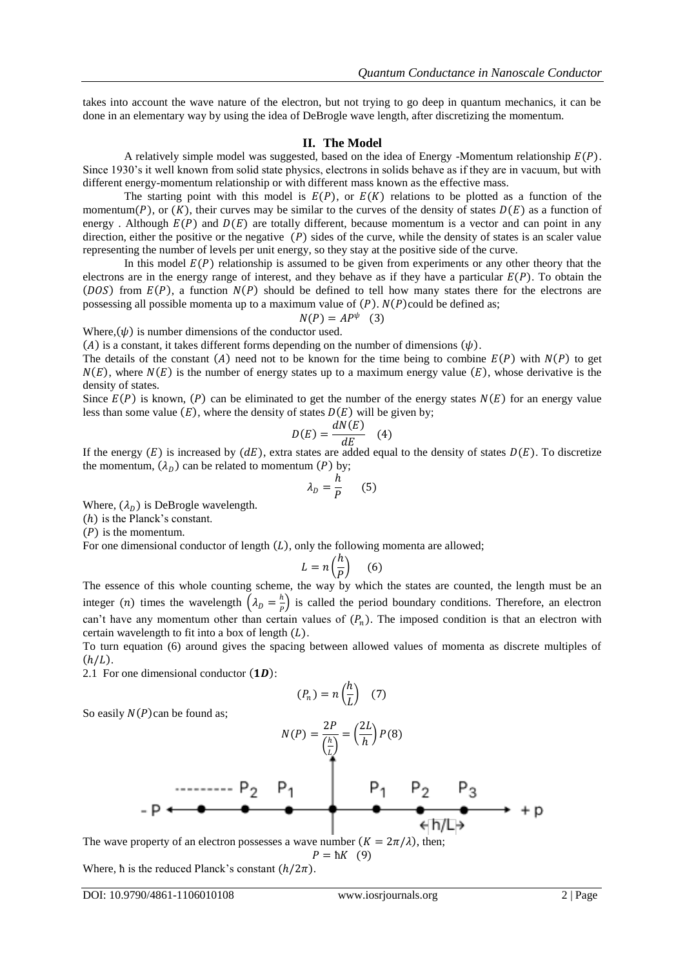takes into account the wave nature of the electron, but not trying to go deep in quantum mechanics, it can be done in an elementary way by using the idea of DeBrogle wave length, after discretizing the momentum.

## **II. The Model**

A relatively simple model was suggested, based on the idea of Energy -Momentum relationship  $E(P)$ . Since 1930's it well known from solid state physics, electrons in solids behave as if they are in vacuum, but with different energy-momentum relationship or with different mass known as the effective mass.

The starting point with this model is  $E(P)$ , or  $E(K)$  relations to be plotted as a function of the momentum(P), or  $(K)$ , their curves may be similar to the curves of the density of states  $D(E)$  as a function of energy . Although  $E(P)$  and  $D(E)$  are totally different, because momentum is a vector and can point in any direction, either the positive or the negative  $(P)$  sides of the curve, while the density of states is an scaler value representing the number of levels per unit energy, so they stay at the positive side of the curve.

In this model  $E(P)$  relationship is assumed to be given from experiments or any other theory that the electrons are in the energy range of interest, and they behave as if they have a particular  $E(P)$ . To obtain the (DOS) from  $E(P)$ , a function  $N(P)$  should be defined to tell how many states there for the electrons are possessing all possible momenta up to a maximum value of  $(P)$ .  $N(P)$  could be defined as;

$$
N(P) = AP^{\psi} \quad (3)
$$

Where,  $(\psi)$  is number dimensions of the conductor used.

(A) is a constant, it takes different forms depending on the number of dimensions  $(\psi)$ .

The details of the constant (A) need not to be known for the time being to combine  $E(P)$  with  $N(P)$  to get  $N(E)$ , where  $N(E)$  is the number of energy states up to a maximum energy value  $(E)$ , whose derivative is the density of states.

Since  $E(P)$  is known,  $(P)$  can be eliminated to get the number of the energy states  $N(E)$  for an energy value less than some value  $(E)$ , where the density of states  $D(E)$  will be given by;

$$
D(E) = \frac{dN(E)}{dE} \quad (4)
$$

If the energy  $(E)$  is increased by  $(dE)$ , extra states are added equal to the density of states  $D(E)$ . To discretize the momentum,  $(\lambda_D)$  can be related to momentum (P) by;

$$
\lambda_D = \frac{h}{P} \qquad (5)
$$

Where,  $(\lambda_n)$  is DeBrogle wavelength.

 $(h)$  is the Planck's constant.

 $(P)$  is the momentum.

For one dimensional conductor of length  $(L)$ , only the following momenta are allowed;

$$
L = n\left(\frac{h}{P}\right) \quad (6)
$$

The essence of this whole counting scheme, the way by which the states are counted, the length must be an integer (*n*) times the wavelength  $\left(\lambda_{p} = \frac{h}{p}\right)$  $\frac{n}{p}$ ) is called the period boundary conditions. Therefore, an electron can't have any momentum other than certain values of  $(P_n)$ . The imposed condition is that an electron with certain wavelength to fit into a box of length  $(L)$ .

To turn equation (6) around gives the spacing between allowed values of momenta as discrete multiples of  $(h/L)$ .

2.1 For one dimensional conductor  $(1D)$ :

$$
(P_n) = n\left(\frac{h}{L}\right) \quad (7)
$$

So easily  $N(P)$ can be found as;

 = 2 = 2 8

The wave property of an electron possesses a wave number  $(K = 2\pi/\lambda)$ , then;  $P = \hbar K$  (9)

Where, h is the reduced Planck's constant  $(h/2\pi)$ .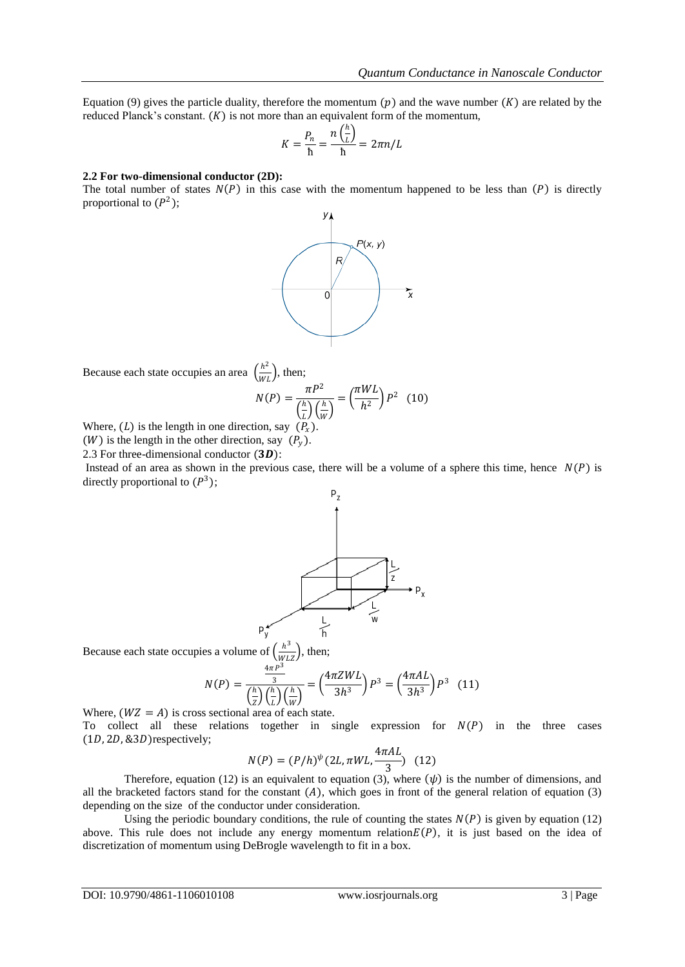Equation (9) gives the particle duality, therefore the momentum  $(p)$  and the wave number  $(K)$  are related by the reduced Planck's constant.  $(K)$  is not more than an equivalent form of the momentum,

$$
K = \frac{P_n}{h} = \frac{n\left(\frac{h}{L}\right)}{h} = 2\pi n/L
$$

#### **2.2 For two-dimensional conductor (2D):**

The total number of states  $N(P)$  in this case with the momentum happened to be less than  $(P)$  is directly proportional to  $(P<sup>2</sup>)$ ;



Because each state occupies an area  $\left(\frac{h^2}{\mu}\right)$  $\frac{n}{WL}$ ), then;

$$
N(P) = \frac{\pi P^2}{\left(\frac{h}{L}\right)\left(\frac{h}{W}\right)} = \left(\frac{\pi WL}{h^2}\right)P^2 \quad (10)
$$

Where, (L) is the length in one direction, say  $(P_x)$ .

(*W*) is the length in the other direction, say  $(P_v)$ .

2.3 For three-dimensional conductor  $(3D)$ :

Instead of an area as shown in the previous case, there will be a volume of a sphere this time, hence  $N(P)$  is directly proportional to  $(P^3)$ ;



Because each state occupies a volume of  $\left(\frac{h^3}{\mu\nu}\right)$  $\frac{n}{WLZ}$ , then;

$$
N(P) = \frac{\frac{4\pi P^3}{3}}{\left(\frac{h}{Z}\right)\left(\frac{h}{L}\right)\left(\frac{h}{W}\right)} = \left(\frac{4\pi ZWL}{3h^3}\right)P^3 = \left(\frac{4\pi AL}{3h^3}\right)P^3 \quad (11)
$$

Where,  $(WZ = A)$  is cross sectional area of each state. To collect all these relations together in single expression for  $N(P)$  in the three cases  $(1D, 2D, 83D)$ respectively;

$$
N(P) = (P/h)^{\psi} (2L, \pi WL, \frac{4\pi AL}{3})
$$
 (12)

Therefore, equation (12) is an equivalent to equation (3), where  $(\psi)$  is the number of dimensions, and all the bracketed factors stand for the constant  $(A)$ , which goes in front of the general relation of equation (3) depending on the size of the conductor under consideration.

Using the periodic boundary conditions, the rule of counting the states  $N(P)$  is given by equation (12) above. This rule does not include any energy momentum relation  $E(P)$ , it is just based on the idea of discretization of momentum using DeBrogle wavelength to fit in a box.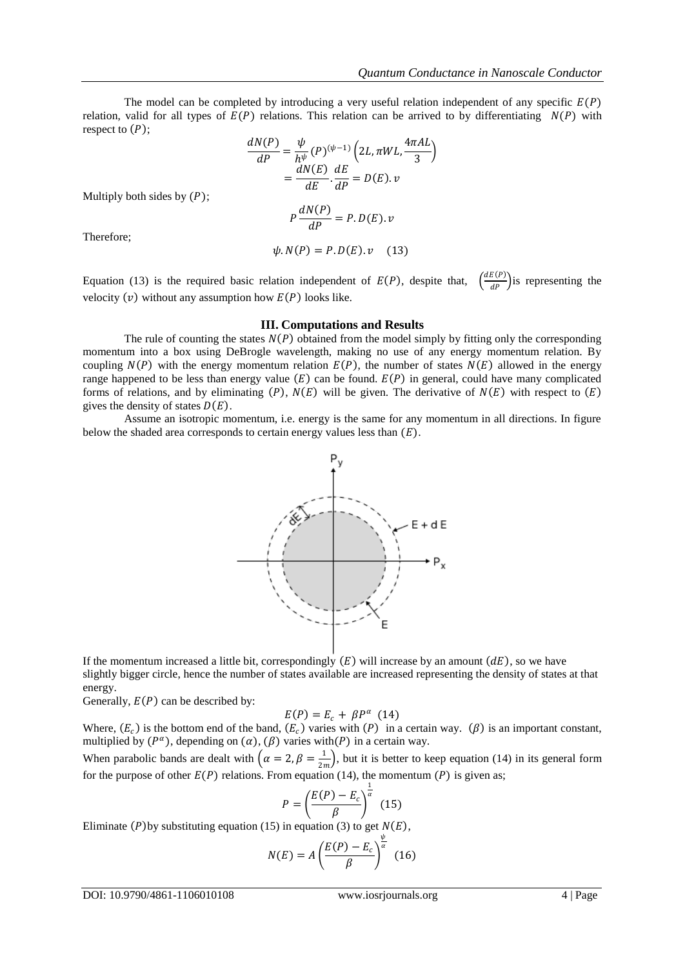The model can be completed by introducing a very useful relation independent of any specific  $E(P)$ relation, valid for all types of  $E(P)$  relations. This relation can be arrived to by differentiating  $N(P)$  with respect to  $(P)$ ;

$$
\frac{dN(P)}{dP} = \frac{\psi}{h^{\psi}}(P)^{(\psi-1)} \left(2L, \pi WL, \frac{4\pi AL}{3}\right)
$$

$$
= \frac{dN(E)}{dE} \cdot \frac{dE}{dP} = D(E).v
$$
Multiply both sides by (P);
$$
P \frac{dN(P)}{dP} = P.D(E).v
$$
Therefore;
$$
\psi.N(P) = P.D(E).v \tag{13}
$$

Therefore;

Equation (13) is the required basic relation independent of  $E(P)$ , despite that,  $\left(\frac{dE(P)}{dP}\right)$  $\frac{E(Y)}{dP}$  is representing the velocity  $(v)$  without any assumption how  $E(P)$  looks like.

#### **III. Computations and Results**

The rule of counting the states  $N(P)$  obtained from the model simply by fitting only the corresponding momentum into a box using DeBrogle wavelength, making no use of any energy momentum relation. By coupling  $N(P)$  with the energy momentum relation  $E(P)$ , the number of states  $N(E)$  allowed in the energy range happened to be less than energy value  $(E)$  can be found.  $E(P)$  in general, could have many complicated forms of relations, and by eliminating  $(P)$ ,  $N(E)$  will be given. The derivative of  $N(E)$  with respect to  $(E)$ gives the density of states  $D(E)$ .

Assume an isotropic momentum, i.e. energy is the same for any momentum in all directions. In figure below the shaded area corresponds to certain energy values less than  $(E)$ .



If the momentum increased a little bit, correspondingly  $(E)$  will increase by an amount  $(dE)$ , so we have slightly bigger circle, hence the number of states available are increased representing the density of states at that energy.

Generally,  $E(P)$  can be described by:

$$
E(P) = E_c + \beta P^{\alpha} \quad (14)
$$

Where,  $(E_c)$  is the bottom end of the band,  $(E_c)$  varies with  $(P)$  in a certain way.  $(\beta)$  is an important constant, multiplied by  $(P^{\alpha})$ , depending on  $(\alpha)$ ,  $(\beta)$  varies with  $(P)$  in a certain way.

When parabolic bands are dealt with  $\left(\alpha = 2, \beta = \frac{1}{2\alpha}\right)$  $\frac{1}{2m}$ , but it is better to keep equation (14) in its general form for the purpose of other  $E(P)$  relations. From equation (14), the momentum  $(P)$  is given as;

$$
P = \left(\frac{E(P) - E_c}{\beta}\right)^{\frac{1}{\alpha}} \tag{15}
$$

Eliminate  $(P)$  by substituting equation (15) in equation (3) to get  $N(E)$ ,

$$
N(E) = A \left(\frac{E(P) - E_c}{\beta}\right)^{\frac{\psi}{\alpha}} \tag{16}
$$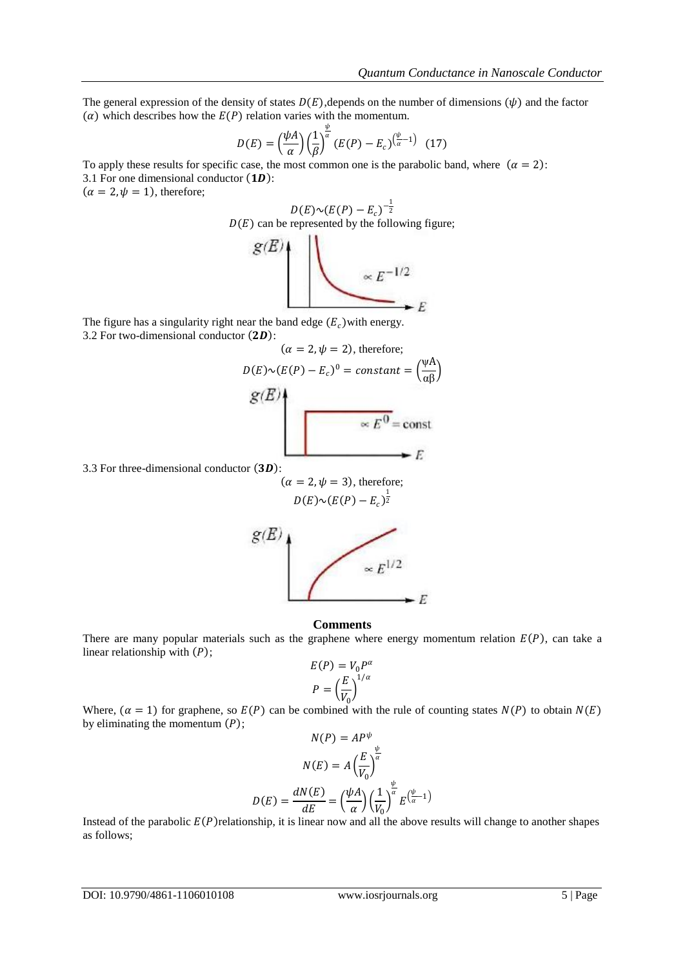The general expression of the density of states  $D(E)$ , depends on the number of dimensions  $(\psi)$  and the factor  $(\alpha)$  which describes how the  $E(P)$  relation varies with the momentum.

$$
D(E) = \left(\frac{\psi A}{\alpha}\right) \left(\frac{1}{\beta}\right)^{\frac{\psi}{\alpha}} (E(P) - E_c)^{\left(\frac{\psi}{\alpha} - 1\right)} \tag{17}
$$

To apply these results for specific case, the most common one is the parabolic band, where  $(\alpha = 2)$ : 3.1 For one dimensional conductor  $(1D)$ :

 $(\alpha = 2, \psi = 1)$ , therefore;

$$
D(E) \sim (E(P) - E_c)^{-\frac{1}{2}}
$$
  
 
$$
B(E)
$$
 can be represented by the following figure:  
 
$$
g(E)
$$
  
 
$$
\propto E^{-1/2}
$$

The figure has a singularity right near the band edge  $(E_c)$  with energy. 3.2 For two-dimensional conductor  $(2D)$ :

$$
(\alpha = 2, \psi = 2), \text{ therefore;}
$$
\n
$$
D(E) \sim (E(P) - E_c)^0 = \text{constant} = \left(\frac{\psi A}{\alpha \beta}\right)
$$
\n
$$
g(E)
$$
\n
$$
\propto E^0 = \text{const}
$$

3.3 For three-dimensional conductor  $(3D)$ :

$$
(\alpha = 2, \psi = 3), \text{ therefore;}
$$

$$
D(E) \sim (E(P) - E_c)^{\frac{1}{2}}
$$



#### **Comments**

There are many popular materials such as the graphene where energy momentum relation  $E(P)$ , can take a linear relationship with  $(P)$ ;

$$
E(P) = V_0 P^{\alpha}
$$

$$
P = \left(\frac{E}{V_0}\right)^{1/\alpha}
$$

Where,  $(\alpha = 1)$  for graphene, so  $E(P)$  can be combined with the rule of counting states  $N(P)$  to obtain  $N(E)$ by eliminating the momentum  $(P)$ ;

$$
N(P) = AP^{\psi}
$$

$$
N(E) = A \left(\frac{E}{V_0}\right)^{\frac{\psi}{\alpha}}
$$

$$
D(E) = \frac{dN(E)}{dE} = \left(\frac{\psi A}{\alpha}\right) \left(\frac{1}{V_0}\right)^{\frac{\psi}{\alpha}} E^{\left(\frac{\psi}{\alpha} - 1\right)}
$$

Instead of the parabolic  $E(P)$  relationship, it is linear now and all the above results will change to another shapes as follows;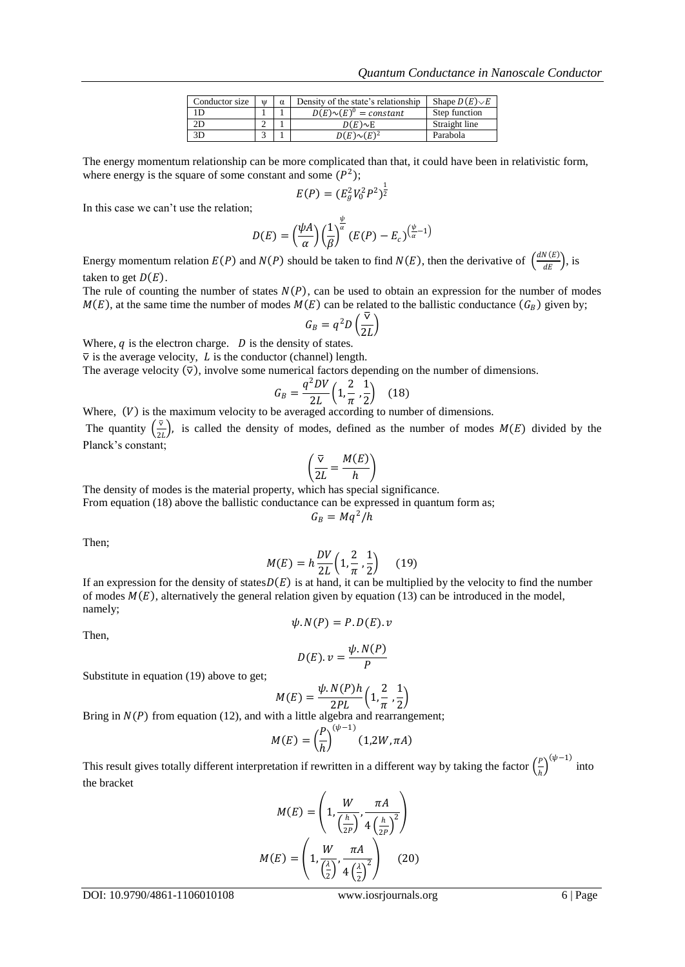| Conductor size | W | Density of the state's relationship | Shape $D(E)\sim E$ |
|----------------|---|-------------------------------------|--------------------|
|                |   | $D(E) \sim (E)^0 = constant$        | Step function      |
|                |   | $D(E) \sim E$                       | Straight line      |
|                |   | $D(E) \sim (E)^2$                   | Parabola           |

The energy momentum relationship can be more complicated than that, it could have been in relativistic form, where energy is the square of some constant and some  $(P<sup>2</sup>)$ ;

$$
E(P) = (E_g^2 V_0^2 P^2)^{\frac{1}{2}}
$$

In this case we can't use the relation;

$$
D(E) = \left(\frac{\psi A}{\alpha}\right) \left(\frac{1}{\beta}\right)^{\frac{\psi}{\alpha}} (E(P) - E_c)^{\left(\frac{\psi}{\alpha} - 1\right)}
$$

Energy momentum relation  $E(P)$  and  $N(P)$  should be taken to find  $N(E)$ , then the derivative of  $\left(\frac{dN(E)}{dE}\right)$  $\frac{\sqrt{k}}{dE}$ , is taken to get  $D(E)$ .

The rule of counting the number of states  $N(P)$ , can be used to obtain an expression for the number of modes  $M(E)$ , at the same time the number of modes  $M(E)$  can be related to the ballistic conductance  $(G_B)$  given by;

$$
G_B = q^2 D\left(\frac{\overline{\nu}}{2L}\right)
$$

Where,  $q$  is the electron charge.  $D$  is the density of states.

 $\overline{v}$  is the average velocity, L is the conductor (channel) length.

The average velocity  $(\nabla)$ , involve some numerical factors depending on the number of dimensions.

$$
G_B = \frac{q^2 DV}{2L} \left( 1, \frac{2}{\pi}, \frac{1}{2} \right) \quad (18)
$$

Where,  $(V)$  is the maximum velocity to be averaged according to number of dimensions.

The quantity  $\left(\frac{\nabla}{\partial x}\right)^2$  $\frac{v}{2L}$ , is called the density of modes, defined as the number of modes  $M(E)$  divided by the Planck's constant;

$$
\left(\frac{\nabla}{2L} = \frac{M(E)}{h}\right)
$$

The density of modes is the material property, which has special significance.

From equation (18) above the ballistic conductance can be expressed in quantum form as;

$$
G_B=Mq^2/h
$$

Then;

$$
M(E) = h \frac{DV}{2L} \left( 1, \frac{2}{\pi}, \frac{1}{2} \right) \quad (19)
$$

If an expression for the density of states  $D(E)$  is at hand, it can be multiplied by the velocity to find the number of modes  $M(E)$ , alternatively the general relation given by equation (13) can be introduced in the model, namely;

$$
\psi.N(P)=P.D(E).v
$$

Then,

$$
D(E). v = \frac{\psi. N(P)}{P}
$$

Substitute in equation (19) above to get;

$$
M(E) = \frac{\psi \cdot N(P)h}{2PL} \left( 1, \frac{2}{\pi}, \frac{1}{2} \right)
$$

Bring in  $N(P)$  from equation (12), and with a little algebra and rearrangement;

$$
M(E) = \left(\frac{P}{h}\right)^{(\psi - 1)}(1, 2W, \pi A)
$$

This result gives totally different interpretation if rewritten in a different way by taking the factor  $(\frac{p}{q})$  $\left(\frac{p}{h}\right)^{(\psi-1)}$  into the bracket

$$
M(E) = \left(1, \frac{W}{\left(\frac{h}{2P}\right)}, \frac{\pi A}{4\left(\frac{h}{2P}\right)^2}\right)
$$

$$
M(E) = \left(1, \frac{W}{\left(\frac{\lambda}{2}\right)}, \frac{\pi A}{4\left(\frac{\lambda}{2}\right)^2}\right) \quad (20)
$$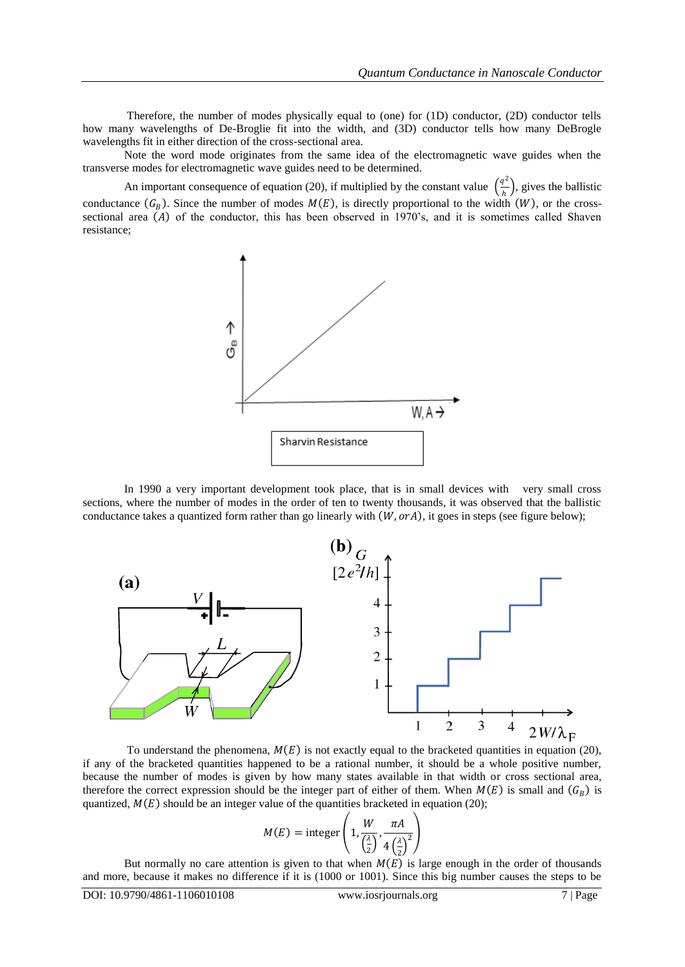Therefore, the number of modes physically equal to (one) for (1D) conductor, (2D) conductor tells how many wavelengths of De-Broglie fit into the width, and (3D) conductor tells how many DeBrogle wavelengths fit in either direction of the cross-sectional area.

Note the word mode originates from the same idea of the electromagnetic wave guides when the transverse modes for electromagnetic wave guides need to be determined.

An important consequence of equation (20), if multiplied by the constant value  $\left(\frac{q^2}{l}\right)$  $\frac{d}{h}$ , gives the ballistic conductance  $(G_B)$ . Since the number of modes  $M(E)$ , is directly proportional to the width  $(W)$ , or the crosssectional area  $(A)$  of the conductor, this has been observed in 1970's, and it is sometimes called Shaven resistance;



In 1990 a very important development took place, that is in small devices with very small cross sections, where the number of modes in the order of ten to twenty thousands, it was observed that the ballistic conductance takes a quantized form rather than go linearly with  $(W, orA)$ , it goes in steps (see figure below);



To understand the phenomena,  $M(E)$  is not exactly equal to the bracketed quantities in equation (20), if any of the bracketed quantities happened to be a rational number, it should be a whole positive number, because the number of modes is given by how many states available in that width or cross sectional area, therefore the correct expression should be the integer part of either of them. When  $M(E)$  is small and  $(G_B)$  is quantized,  $M(E)$  should be an integer value of the quantities bracketed in equation (20);

$$
M(E) = \text{integer}\left(1, \frac{W}{\left(\frac{\lambda}{2}\right)}, \frac{\pi A}{4\left(\frac{\lambda}{2}\right)^2}\right)
$$

But normally no care attention is given to that when  $M(E)$  is large enough in the order of thousands and more, because it makes no difference if it is (1000 or 1001). Since this big number causes the steps to be